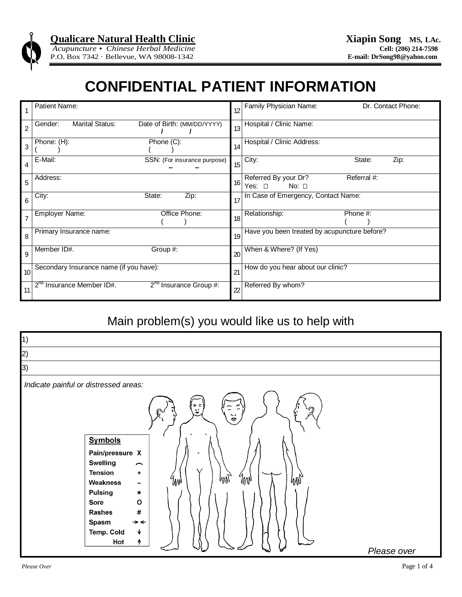

# **CONFIDENTIAL PATIENT INFORMATION**

|                | Patient Name:                                                    | 12              | Family Physician Name:<br>Dr. Contact Phone:                   |  |  |
|----------------|------------------------------------------------------------------|-----------------|----------------------------------------------------------------|--|--|
| $\overline{2}$ | <b>Marital Status:</b><br>Date of Birth: (MM/DD/YYYY)<br>Gender: | 13              | Hospital / Clinic Name:                                        |  |  |
| 3              | Phone: (H):<br>Phone (C):                                        | 14              | Hospital / Clinic Address:                                     |  |  |
| 4              | E-Mail:<br>SSN: (For insurance purpose)                          | 15              | City:<br>State:<br>Zip:                                        |  |  |
| 5              | Address:                                                         | 16              | Referral #:<br>Referred By your Dr?<br>No: $\square$<br>Yes: ⊓ |  |  |
| 6              | City:<br>State:<br>Zip:                                          | 17              | In Case of Emergency, Contact Name:                            |  |  |
| 7              | Office Phone:<br>Employer Name:                                  | 18              | Relationship:<br>Phone #:                                      |  |  |
| 8              | Primary Insurance name:                                          |                 | Have you been treated by acupuncture before?                   |  |  |
| 9              | Member ID#.<br>Group #:                                          | 20              | When & Where? (If Yes)                                         |  |  |
| 10             | Secondary Insurance name (if you have):                          | 21              | How do you hear about our clinic?                              |  |  |
| 11             | Insurance Member ID#.<br>$2^{nd}$ Insurance Group #:             | $\overline{22}$ | Referred By whom?                                              |  |  |

### Main problem(s) you would like us to help with

| $\vert$ 1)                                                                                                                                                                                                                                                                                                                           |             |
|--------------------------------------------------------------------------------------------------------------------------------------------------------------------------------------------------------------------------------------------------------------------------------------------------------------------------------------|-------------|
| 2)                                                                                                                                                                                                                                                                                                                                   |             |
| 3)                                                                                                                                                                                                                                                                                                                                   |             |
| Indicate painful or distressed areas:                                                                                                                                                                                                                                                                                                |             |
| ⇒<br>پ<br>ë<br><b>Symbols</b><br>Pain/pressure X<br><b>Swelling</b><br>$\widehat{\phantom{m}}$<br><b>Tension</b><br>٠<br>my<br>WY,<br>Wh<br>my<br>Weakness<br>$\overline{\phantom{a}}$<br><b>Pulsing</b><br>$\ast$<br>O<br>Sore<br>$\pmb{\#}$<br><b>Rashes</b><br>Spasm<br>$\rightarrow$ $\leftarrow$<br>Temp. Cold<br>♦<br>Hot<br>↑ | Please over |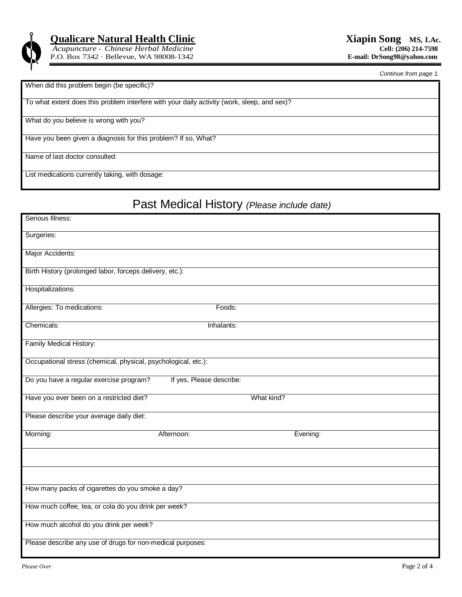

 $Acupuncture$  • *Chinese Herbal Medicine* P.O. Box 7342 · Bellevue, WA 98008-1342 **E-mail: DrSong98@yahoo.com**

*Continue from page 1.*

#### When did this problem begin (be specific)?

To what extent does this problem interfere with your daily activity (work, sleep, and sex)?

What do you believe is wrong with you?

Have you been given a diagnosis for this problem? If so, What?

Name of last doctor consulted:

List medications currently taking, with dosage:

### Past Medical History *(Please include date)*

| Serious Illness:                                               |                          |            |          |  |  |  |  |
|----------------------------------------------------------------|--------------------------|------------|----------|--|--|--|--|
| Surgeries:                                                     |                          |            |          |  |  |  |  |
| Major Accidents:                                               |                          |            |          |  |  |  |  |
| Birth History (prolonged labor, forceps delivery, etc.):       |                          |            |          |  |  |  |  |
| Hospitalizations:                                              |                          |            |          |  |  |  |  |
| Allergies: To medications:                                     | Foods:                   |            |          |  |  |  |  |
| Chemicals:                                                     | Inhalants:               |            |          |  |  |  |  |
| Family Medical History:                                        |                          |            |          |  |  |  |  |
| Occupational stress (chemical, physical, psychological, etc.): |                          |            |          |  |  |  |  |
| Do you have a regular exercise program?                        | If yes, Please describe: |            |          |  |  |  |  |
| Have you ever been on a restricted diet?                       |                          | What kind? |          |  |  |  |  |
| Please describe your average daily diet:                       |                          |            |          |  |  |  |  |
| Morning:                                                       | Afternoon:               |            | Evening: |  |  |  |  |
|                                                                |                          |            |          |  |  |  |  |
|                                                                |                          |            |          |  |  |  |  |
| How many packs of cigarettes do you smoke a day?               |                          |            |          |  |  |  |  |
| How much coffee, tea, or cola do you drink per week?           |                          |            |          |  |  |  |  |
| How much alcohol do you drink per week?                        |                          |            |          |  |  |  |  |
| Please describe any use of drugs for non-medical purposes:     |                          |            |          |  |  |  |  |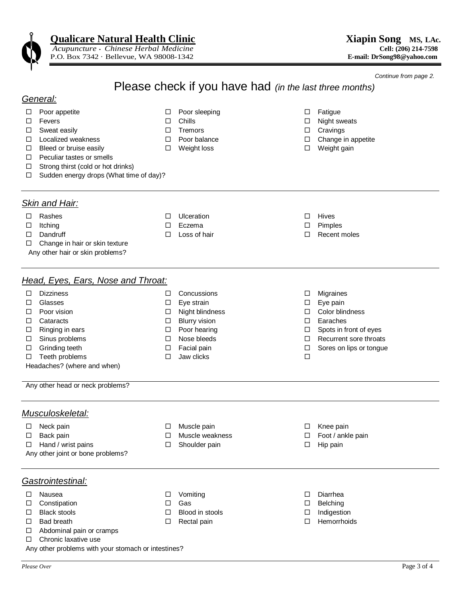*Acupuncture • Chinese Herbal Medicine* **Cell: (206) 214-7598** P.O. Box 7342 · Bellevue, WA 98008-1342

*Continue from page 2.*

## Please check if you have had *(in the last three months)*

#### *General:*

- □ Poor appetite Q Poor sleeping Q Poor sleeping Q Fatigue
- $\square$  Fevers  $\square$  Chills  $\square$  Chills  $\square$  Night sweats
- $\square$  Sweat easily  $\square$  Tremors  $\square$  Cravings
- Localized weakness Poor balance Change in appetite
- □ Bleed or bruise easily D Weight loss D Weight D Weight gain
- $\Box$  Peculiar tastes or smells
- $\Box$  Strong thirst (cold or hot drinks)
- $\Box$  Sudden energy drops (What time of day)?

#### *Skin and Hair:*

- 
- 
- 
- $\Box$  Change in hair or skin texture
- Any other hair or skin problems?

#### *Head, Eyes, Ears, Nose and Throat:*

- □ Dizziness 
→ □ Concussions → □ Migraines
- Glasses Eye strain Eye pain
- Poor vision Night blindness Color blindness
- Cataracts Blurry vision Earaches
	-
	-
	-
- $\Box$  Teeth problems  $\Box$  Jaw clicks  $\Box$
- 
- 
- 
- 
- 
- $\Box$  Ringing in ears  $\Box$  Poor hearing  $\Box$  Spots in front of eyes
- $\Box$  Sinus problems  $\Box$  Nose bleeds  $\Box$  Recurrent sore throats
- Grinding teeth Facial pain Sores on lips or tongue
- Any other head or neck problems?

Headaches? (where and when)

#### *Musculoskeletal:*

Neck pain Muscle pain Knee pain

- □ Back pain **Nuscle weakness Foot / ankle pain Foot / ankle pain**
- $\Box$  Hand / wrist pains  $\Box$  Shoulder pain  $\Box$  Hip pain
- Any other joint or bone problems?

#### *Gastrointestinal:*

- 
- Constipation Gas Belching
- 
- 
- □ Abdominal pain or cramps
- □ Chronic laxative use
- Any other problems with your stomach or intestines?
- 
- 
- 
- Black stools Blood in stools Indigestion
	-
- 
- 
- Nausea Vomiting Diarrhea
	-
	-
- □ Bad breath Hemorrhoids Hemorrhoids Hemorrhoids Hemorrhoids

- Rashes Ulceration Hives Itching Eczema Pimples
	-
- 
- 
- 
- Dandruff Loss of hair Recent moles